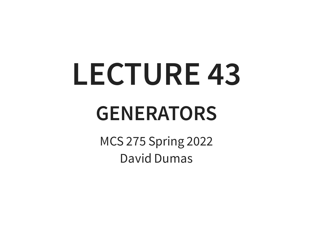# **LECTURE 43**

#### **GENERATORS**

MCS 275 Spring 2022 David Dumas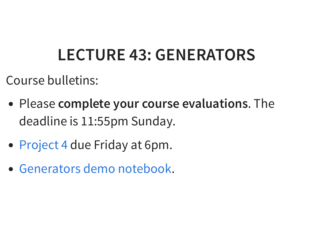#### **LECTURE 43: GENERATORS**

Course bulletins:

- Please **complete your course evaluations**. The deadline is 11:55pm Sunday.
- [Project](https://www.dumas.io/teaching/2022/spring/mcs275/nbview/projects/project4.html) 4 due Friday at 6pm.
- . [Generators](https://www.dumas.io/teaching/2022/spring/mcs275/nbview/samplecode/generators.html) demo notebook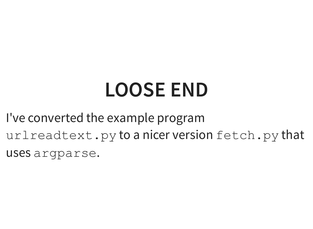#### **LOOSE END**

I've converted the example program urlreadtext.py to a nicer version fetch.py that uses argparse.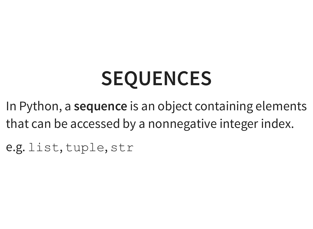# **SEQUENCES**

In Python, a **sequence** is an object containing elements that can be accessed by a nonnegative integer index.

e.g. list, tuple, str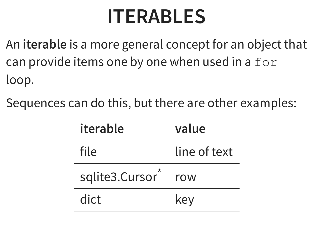#### **ITERABLES**

- An **iterable** is a more general concept for an object that can provide items one by one when used in a  $for$ loop.
- Sequences can do this, but there are other examples:

| iterable       | value        |
|----------------|--------------|
| file           | line of text |
| sqlite3.Cursor | row          |
| dict           | key          |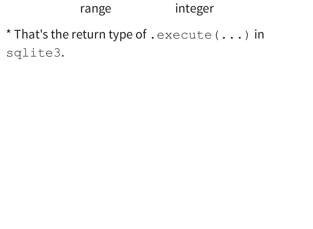#### range integer

\* That's the return type of . execute (...) in sqlite3.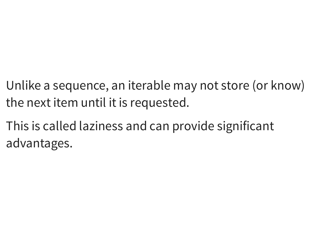- Unlike a sequence, an iterable may not store (or know) the next item until it is requested.
- This is called laziness and can provide significant advantages.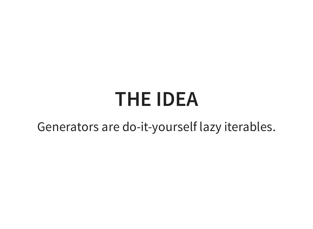#### **THE IDEA**

Generators are do-it-yourself lazy iterables.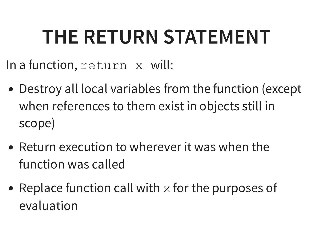#### **THE RETURN STATEMENT**

In a function, return x will:

- Destroy all local variables from the function (except when references to them exist in objects still in scope)
- Return execution to wherever it was when the function was called
- Replace function call with  $x$  for the purposes of evaluation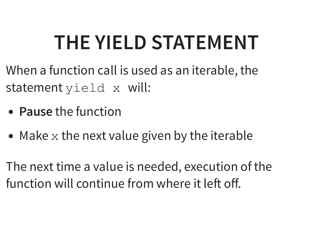## **THE YIELD STATEMENT**

When a function call is used as an iterable, the statement yield x will:

- **Pause** the function
- Make  $x$  the next value given by the iterable

The next time a value is needed, execution of the function will continue from where it left off.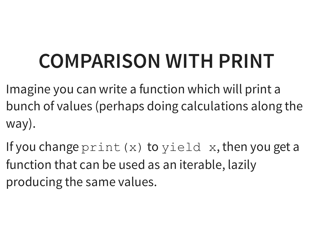### **COMPARISON WITH PRINT**

Imagine you can write a function which will print a bunch of values (perhaps doing calculations along the way).

If you change  $print(x)$  to  $yield(x)$ , then you get a function that can be used as an iterable, lazily producing the same values.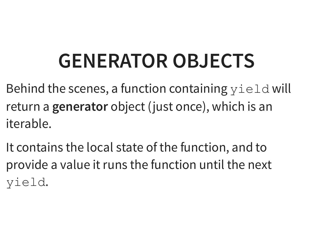#### **GENERATOR OBJECTS**

Behind the scenes, a function containing  $y$  ield will return a **generator** object (just once), which is an iterable.

It contains the local state of the function, and to provide a value it runs the function until the next yield.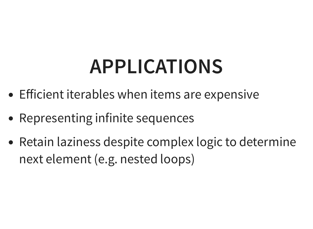#### **APPLICATIONS**

- Efficient iterables when items are expensive
- Representing infinite sequences
- Retain laziness despite complex logic to determine next element (e.g. nested loops)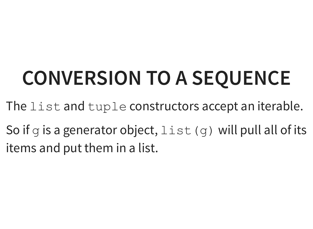# **CONVERSION TO A SEQUENCE**

- The list and tuple constructors accept an iterable.
- So if g is a generator object,  $list(q)$  will pull all of its items and put them in a list.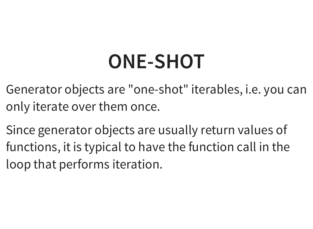#### **ONE-SHOT**

Generator objects are "one-shot" iterables, i.e. you can only iterate over them once.

Since generator objects are usually return values of functions, it is typical to have the function call in the loop that performs iteration.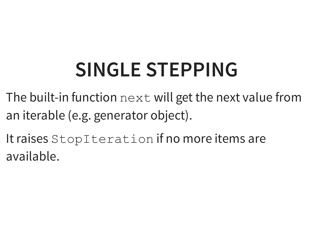### **SINGLE STEPPING**

- The built-in function next will get the next value from an iterable (e.g. generator object).
- It raises StopIteration if no more items are available.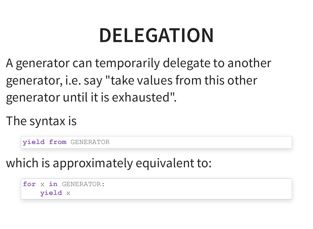#### **DELEGATION**

A generator can temporarily delegate to another generator, i.e. say "take values from this other generator until it is exhausted".

The syntax is

**yield from** GENERATOR

which is approximately equivalent to:

**for** x **in** GENERATOR: **yield** x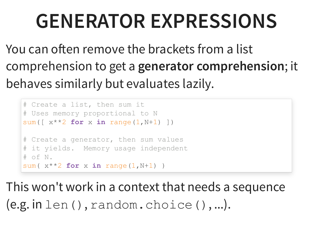#### **GENERATOR EXPRESSIONS**

You can often remove the brackets from a list comprehension to get a **generator comprehension**; it behaves similarly but evaluates lazily.

```
# Create a list, then sum it
# Uses memory proportional to N
sum(\lceil x^* \times 2 \text{ for } x \text{ in } \text{ range}(1, N+1) \rceil)
# Create a generator, then sum values
# it yields. Memory usage independent
# of N.
sum(x^{**}2 for x in range(1,N+1))
```
This won't work in a context that needs a sequence  $(e.g. in len(), random. choice(), ...).$